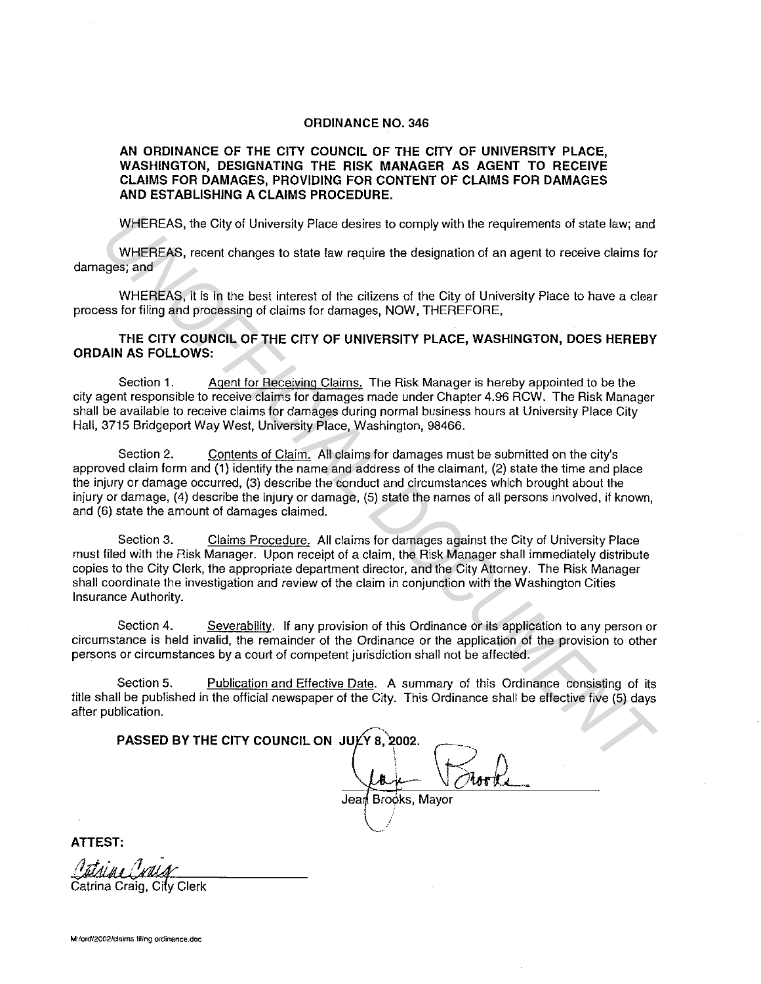## **ORDINANCE NO. 346**

## **AN ORDINANCE OF THE CITY COUNCIL OF THE CITY OF UNIVERSITY PLACE, WASHINGTON, DESIGNATING THE RISK MANAGER AS AGENT TO RECEIVE CLAIMS FOR DAMAGES, PROVIDING FOR CONTENT OF CLAIMS FOR DAMAGES AND ESTABLISHING A CLAIMS PROCEDURE.**

WHEREAS, the City of University Place desires to comply with the requirements of state law; and

WHEREAS, recent changes to state law require the designation of an agent to receive claims for damages; and

WHEREAS, it is in the best interest of the citizens of the City of University Place to have a clear process for filing and processing of claims for damages, NOW, THEREFORE,

**THE CITY COUNCIL OF THE CITY OF UNIVERSITY PLACE, WASHINGTON, DOES HEREBY ORDAIN AS FOLLOWS:** 

Section 1. Agent for Receiving Claims. The Risk Manager is hereby appointed to be the city agent responsible to receive claims for damages made under Chapter 4.96 RCW. The Risk Manager shall be available to receive claims for damages during normal business hours at University Place City Hall, 3715 Bridgeport Way West, University Place, Washington, 98466.

Section 2. Contents of Claim. All claims for damages must be submitted on the city's approved claim form and **(1}** identify the name and address of the claimant, (2) state the time and place the injury or damage occurred, (3) describe the conduct and circumstances which brought about the injury or damage, (4) describe the injury or damage, (5) state the names of all persons involved, if known, and (6) state the amount of damages claimed. WHEREAS, the City of University Place desires to comply with the requirements of state law; and<br>
WHEREAS, recent changes to state law require the designation of an agent to receive claims for<br>
UNIFICITY OF WHEREAS, it is i

Section 3. Claims Procedure. All claims for damages against the City of University Place must filed with the Risk Manager. Upon receipt of a claim, the Risk Manager shall immediately distribute copies to the City Clerk, the appropriate department director, and the City Attorney. The Risk Manager shall coordinate the investigation and review of the claim in conjunction with the Washington Cities Insurance Authority.

Section 4. Severability. If any provision of this Ordinance or its application to any person or circumstance is held invalid, the remainder of the Ordinance or the application of the provision to other persons or circumstances by a court of competent jurisdiction shall not be affected.

Section 5. Publication and Effective Date. A summary of this Ordinance consisting of its title shall be published in the official newspaper of the City. This Ordinance shall be effective five (5) days after publication.

**PASSED BY THE CITY COUNCIL ON JULY 8,** 2002.  $\mathcal{L}$ ' Jea Brooks, Mayor

**ATTEST:** 

Catrina Craig, City Clerk